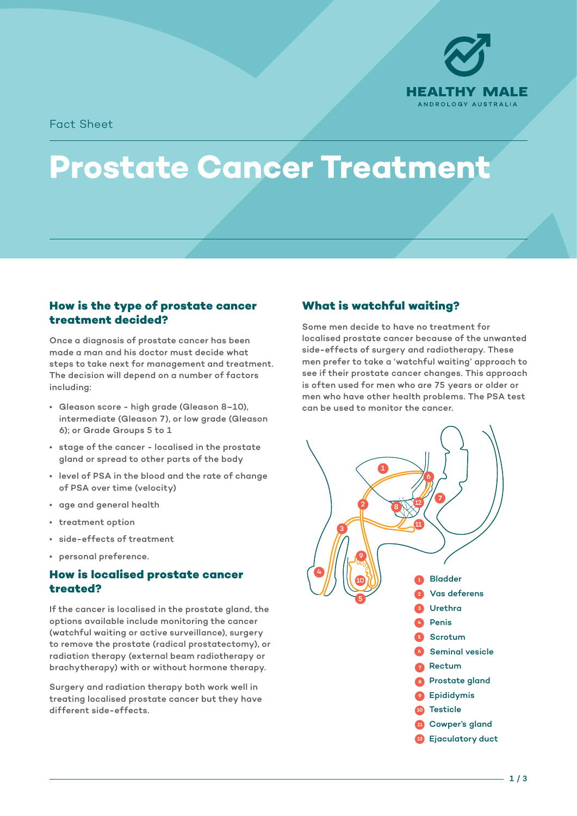

Fact Sheet

# **Prostate Cancer Treatment**

#### **How is the type of prostate cancer treatment decided?**

Once a diagnosis of prostate cancer has been made a man and his doctor must decide what steps to take next for management and treatment. The decision will depend on a number of factors including:

- Gleason score high grade (Gleason 8–10), intermediate (Gleason 7), or low grade (Gleason 6); or Grade Groups 5 to 1
- stage of the cancer localised in the prostate gland or spread to other parts of the body
- level of PSA in the blood and the rate of change of PSA over time (velocity)
- age and general health
- treatment option
- side-effects of treatment
- personal preference.

#### **How is localised prostate cancer treated?**

If the cancer is localised in the prostate gland, the options available include monitoring the cancer (watchful waiting or active surveillance), surgery to remove the prostate (radical prostatectomy), or radiation therapy (external beam radiotherapy or brachytherapy) with or without hormone therapy.

Surgery and radiation therapy both work well in treating localised prostate cancer but they have different side-effects.

# **What is watchful waiting?**

Some men decide to have no treatment for localised prostate cancer because of the unwanted side-effects of surgery and radiotherapy. These men prefer to take a 'watchful waiting' approach to see if their prostate cancer changes. This approach 1 is often used for men who are 75 years or older or men who have other health problems. The PSA test can be used to monitor the cancer. 7 12

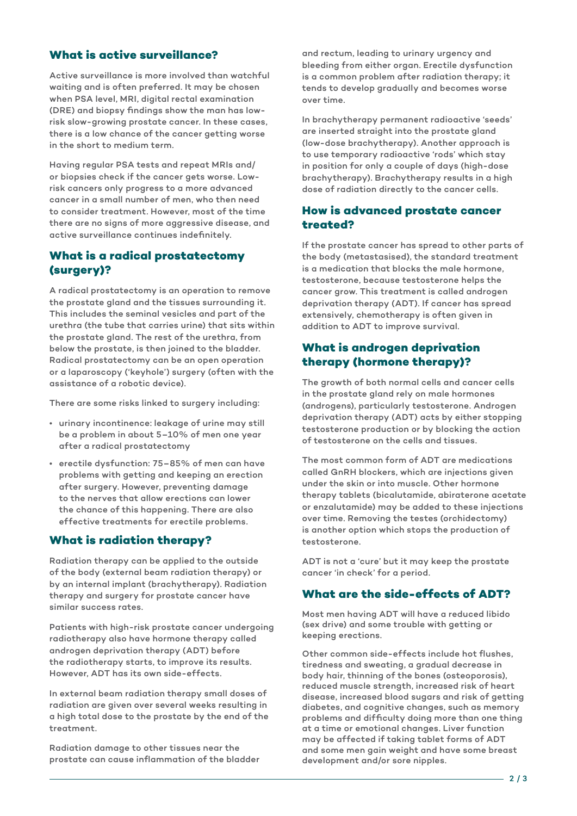# **What is active surveillance?**

Active surveillance is more involved than watchful waiting and is often preferred. It may be chosen when PSA level, MRI, digital rectal examination (DRE) and biopsy findings show the man has lowrisk slow-growing prostate cancer. In these cases, there is a low chance of the cancer getting worse in the short to medium term.

Having regular PSA tests and repeat MRIs and/ or biopsies check if the cancer gets worse. Lowrisk cancers only progress to a more advanced cancer in a small number of men, who then need to consider treatment. However, most of the time there are no signs of more aggressive disease, and active surveillance continues indefinitely.

### **What is a radical prostatectomy (surgery)?**

A radical prostatectomy is an operation to remove the prostate gland and the tissues surrounding it. This includes the seminal vesicles and part of the urethra (the tube that carries urine) that sits within the prostate gland. The rest of the urethra, from below the prostate, is then joined to the bladder. Radical prostatectomy can be an open operation or a laparoscopy ('keyhole') surgery (often with the assistance of a robotic device).

There are some risks linked to surgery including:

- urinary incontinence: leakage of urine may still be a problem in about 5–10% of men one year after a radical prostatectomy
- erectile dysfunction: 75–85% of men can have problems with getting and keeping an erection after surgery. However, preventing damage to the nerves that allow erections can lower the chance of this happening. There are also effective treatments for erectile problems.

#### **What is radiation therapy?**

Radiation therapy can be applied to the outside of the body (external beam radiation therapy) or by an internal implant (brachytherapy). Radiation therapy and surgery for prostate cancer have similar success rates.

Patients with high-risk prostate cancer undergoing radiotherapy also have hormone therapy called androgen deprivation therapy (ADT) before the radiotherapy starts, to improve its results. However, ADT has its own side-effects.

In external beam radiation therapy small doses of radiation are given over several weeks resulting in a high total dose to the prostate by the end of the treatment.

Radiation damage to other tissues near the prostate can cause inflammation of the bladder and rectum, leading to urinary urgency and bleeding from either organ. Erectile dysfunction is a common problem after radiation therapy; it tends to develop gradually and becomes worse over time.

In brachytherapy permanent radioactive 'seeds' are inserted straight into the prostate gland (low-dose brachytherapy). Another approach is to use temporary radioactive 'rods' which stay in position for only a couple of days (high-dose brachytherapy). Brachytherapy results in a high dose of radiation directly to the cancer cells.

### **How is advanced prostate cancer treated?**

If the prostate cancer has spread to other parts of the body (metastasised), the standard treatment is a medication that blocks the male hormone, testosterone, because testosterone helps the cancer grow. This treatment is called androgen deprivation therapy (ADT). If cancer has spread extensively, chemotherapy is often given in addition to ADT to improve survival.

## **What is androgen deprivation therapy (hormone therapy)?**

The growth of both normal cells and cancer cells in the prostate gland rely on male hormones (androgens), particularly testosterone. Androgen deprivation therapy (ADT) acts by either stopping testosterone production or by blocking the action of testosterone on the cells and tissues.

The most common form of ADT are medications called GnRH blockers, which are injections given under the skin or into muscle. Other hormone therapy tablets (bicalutamide, abiraterone acetate or enzalutamide) may be added to these injections over time. Removing the testes (orchidectomy) is another option which stops the production of testosterone.

ADT is not a 'cure' but it may keep the prostate cancer 'in check' for a period.

# **What are the side-effects of ADT?**

Most men having ADT will have a reduced libido (sex drive) and some trouble with getting or keeping erections.

Other common side-effects include hot flushes, tiredness and sweating, a gradual decrease in body hair, thinning of the bones (osteoporosis), reduced muscle strength, increased risk of heart disease, increased blood sugars and risk of getting diabetes, and cognitive changes, such as memory problems and difficulty doing more than one thing at a time or emotional changes. Liver function may be affected if taking tablet forms of ADT and some men gain weight and have some breast development and/or sore nipples.